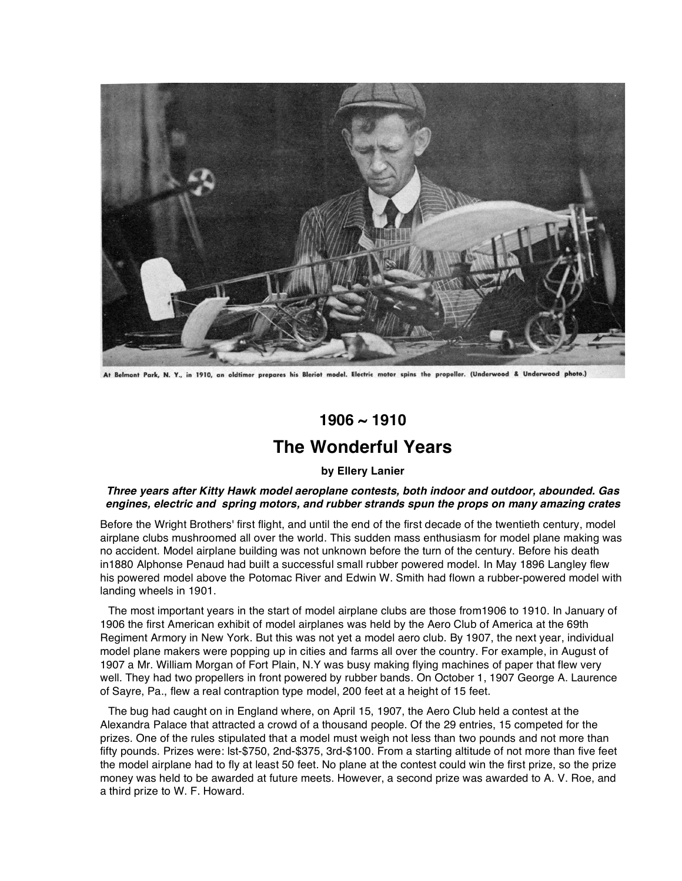

At Belmont Park, N. Y., in 1910, an oldtimer prepares his Bleriot model. Electric motor spins the propeller. (Underwood & Underwood photo.)

## **1906 ~ 1910**

## **The Wonderful Years**

## **by Ellery Lanier**

## *Three years after Kitty Hawk model aeroplane contests, both indoor and outdoor, abounded. Gas engines, electric and spring motors, and rubber strands spun the props on many amazing crates*

Before the Wright Brothers' first flight, and until the end of the first decade of the twentieth century, model airplane clubs mushroomed all over the world. This sudden mass enthusiasm for model plane making was no accident. Model airplane building was not unknown before the turn of the century. Before his death in1880 Alphonse Penaud had built a successful small rubber powered model. In May 1896 Langley flew his powered model above the Potomac River and Edwin W. Smith had flown a rubber-powered model with landing wheels in 1901.

The most important years in the start of model airplane clubs are those from1906 to 1910. In January of 1906 the first American exhibit of model airplanes was held by the Aero Club of America at the 69th Regiment Armory in New York. But this was not yet a model aero club. By 1907, the next year, individual model plane makers were popping up in cities and farms all over the country. For example, in August of 1907 a Mr. William Morgan of Fort Plain, N.Y was busy making flying machines of paper that flew very well. They had two propellers in front powered by rubber bands. On October 1, 1907 George A. Laurence of Sayre, Pa., flew a real contraption type model, 200 feet at a height of 15 feet.

The bug had caught on in England where, on April 15, 1907, the Aero Club held a contest at the Alexandra Palace that attracted a crowd of a thousand people. Of the 29 entries, 15 competed for the prizes. One of the rules stipulated that a model must weigh not less than two pounds and not more than fifty pounds. Prizes were: lst-\$750, 2nd-\$375, 3rd-\$100. From a starting altitude of not more than five feet the model airplane had to fly at least 50 feet. No plane at the contest could win the first prize, so the prize money was held to be awarded at future meets. However, a second prize was awarded to A. V. Roe, and a third prize to W. F. Howard.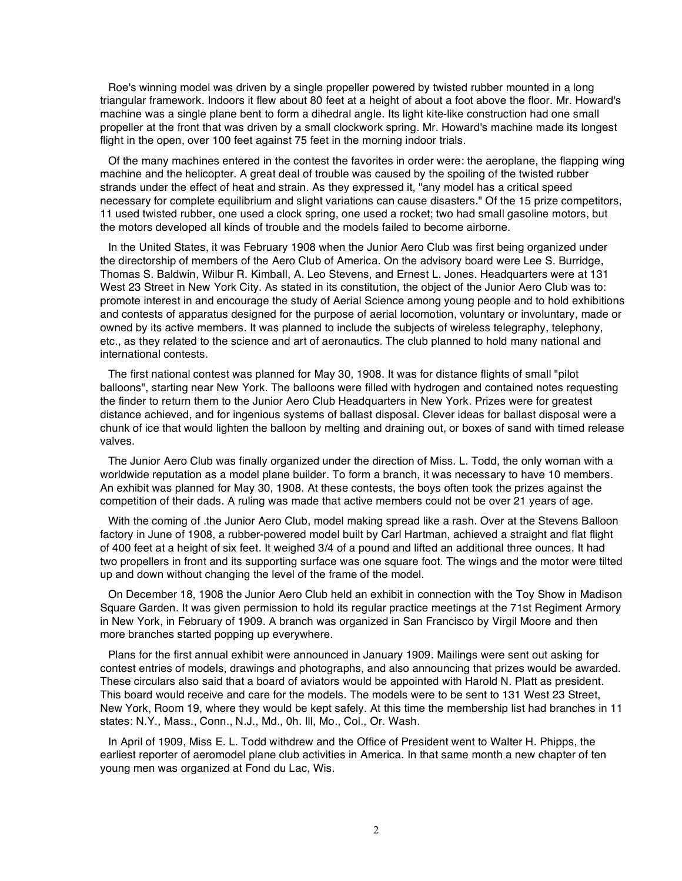Roe's winning model was driven by a single propeller powered by twisted rubber mounted in a long triangular framework. Indoors it flew about 80 feet at a height of about a foot above the floor. Mr. Howard's machine was a single plane bent to form a dihedral angle. Its light kite-like construction had one small propeller at the front that was driven by a small clockwork spring. Mr. Howard's machine made its longest flight in the open, over 100 feet against 75 feet in the morning indoor trials.

Of the many machines entered in the contest the favorites in order were: the aeroplane, the flapping wing machine and the helicopter. A great deal of trouble was caused by the spoiling of the twisted rubber strands under the effect of heat and strain. As they expressed it, "any model has a critical speed necessary for complete equilibrium and slight variations can cause disasters." Of the 15 prize competitors, 11 used twisted rubber, one used a clock spring, one used a rocket; two had small gasoline motors, but the motors developed all kinds of trouble and the models failed to become airborne.

In the United States, it was February 1908 when the Junior Aero Club was first being organized under the directorship of members of the Aero Club of America. On the advisory board were Lee S. Burridge, Thomas S. Baldwin, Wilbur R. Kimball, A. Leo Stevens, and Ernest L. Jones. Headquarters were at 131 West 23 Street in New York City. As stated in its constitution, the object of the Junior Aero Club was to: promote interest in and encourage the study of Aerial Science among young people and to hold exhibitions and contests of apparatus designed for the purpose of aerial locomotion, voluntary or involuntary, made or owned by its active members. It was planned to include the subjects of wireless telegraphy, telephony, etc., as they related to the science and art of aeronautics. The club planned to hold many national and international contests.

The first national contest was planned for May 30, 1908. It was for distance flights of small "pilot balloons", starting near New York. The balloons were filled with hydrogen and contained notes requesting the finder to return them to the Junior Aero Club Headquarters in New York. Prizes were for greatest distance achieved, and for ingenious systems of ballast disposal. Clever ideas for ballast disposal were a chunk of ice that would lighten the balloon by melting and draining out, or boxes of sand with timed release valves.

The Junior Aero Club was finally organized under the direction of Miss. L. Todd, the only woman with a worldwide reputation as a model plane builder. To form a branch, it was necessary to have 10 members. An exhibit was planned for May 30, 1908. At these contests, the boys often took the prizes against the competition of their dads. A ruling was made that active members could not be over 21 years of age.

With the coming of .the Junior Aero Club, model making spread like a rash. Over at the Stevens Balloon factory in June of 1908, a rubber-powered model built by Carl Hartman, achieved a straight and flat flight of 400 feet at a height of six feet. It weighed 3/4 of a pound and lifted an additional three ounces. It had two propellers in front and its supporting surface was one square foot. The wings and the motor were tilted up and down without changing the level of the frame of the model.

On December 18, 1908 the Junior Aero Club held an exhibit in connection with the Toy Show in Madison Square Garden. It was given permission to hold its regular practice meetings at the 71st Regiment Armory in New York, in February of 1909. A branch was organized in San Francisco by Virgil Moore and then more branches started popping up everywhere.

Plans for the first annual exhibit were announced in January 1909. Mailings were sent out asking for contest entries of models, drawings and photographs, and also announcing that prizes would be awarded. These circulars also said that a board of aviators would be appointed with Harold N. Platt as president. This board would receive and care for the models. The models were to be sent to 131 West 23 Street, New York, Room 19, where they would be kept safely. At this time the membership list had branches in 11 states: N.Y., Mass., Conn., N.J., Md., 0h. Ill, Mo., Col., Or. Wash.

In April of 1909, Miss E. L. Todd withdrew and the Office of President went to Walter H. Phipps, the earliest reporter of aeromodel plane club activities in America. In that same month a new chapter of ten young men was organized at Fond du Lac, Wis.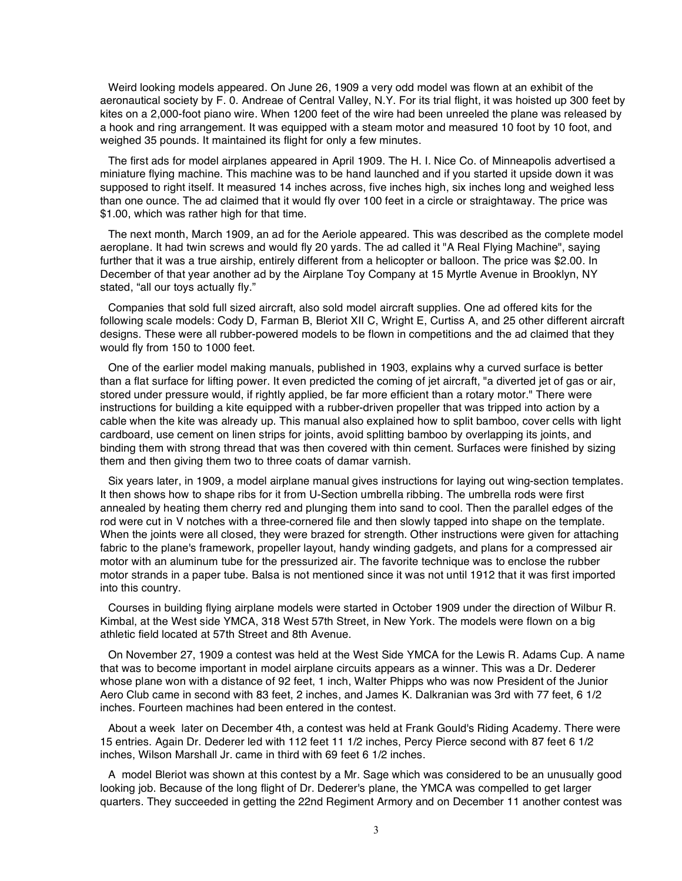Weird looking models appeared. On June 26, 1909 a very odd model was flown at an exhibit of the aeronautical society by F. 0. Andreae of Central Valley, N.Y. For its trial flight, it was hoisted up 300 feet by kites on a 2,000-foot piano wire. When 1200 feet of the wire had been unreeled the plane was released by a hook and ring arrangement. It was equipped with a steam motor and measured 10 foot by 10 foot, and weighed 35 pounds. It maintained its flight for only a few minutes.

The first ads for model airplanes appeared in April 1909. The H. I. Nice Co. of Minneapolis advertised a miniature flying machine. This machine was to be hand launched and if you started it upside down it was supposed to right itself. It measured 14 inches across, five inches high, six inches long and weighed less than one ounce. The ad claimed that it would fly over 100 feet in a circle or straightaway. The price was \$1.00, which was rather high for that time.

The next month, March 1909, an ad for the Aeriole appeared. This was described as the complete model aeroplane. It had twin screws and would fly 20 yards. The ad called it "A Real Flying Machine", saying further that it was a true airship, entirely different from a helicopter or balloon. The price was \$2.00. In December of that year another ad by the Airplane Toy Company at 15 Myrtle Avenue in Brooklyn, NY stated, "all our toys actually fly."

Companies that sold full sized aircraft, also sold model aircraft supplies. One ad offered kits for the following scale models: Cody D, Farman B, Bleriot XII C, Wright E, Curtiss A, and 25 other different aircraft designs. These were all rubber-powered models to be flown in competitions and the ad claimed that they would fly from 150 to 1000 feet.

One of the earlier model making manuals, published in 1903, explains why a curved surface is better than a flat surface for lifting power. It even predicted the coming of jet aircraft, "a diverted jet of gas or air, stored under pressure would, if rightly applied, be far more efficient than a rotary motor." There were instructions for building a kite equipped with a rubber-driven propeller that was tripped into action by a cable when the kite was already up. This manual also explained how to split bamboo, cover cells with light cardboard, use cement on linen strips for joints, avoid splitting bamboo by overlapping its joints, and binding them with strong thread that was then covered with thin cement. Surfaces were finished by sizing them and then giving them two to three coats of damar varnish.

Six years later, in 1909, a model airplane manual gives instructions for laying out wing-section templates. It then shows how to shape ribs for it from U-Section umbrella ribbing. The umbrella rods were first annealed by heating them cherry red and plunging them into sand to cool. Then the parallel edges of the rod were cut in V notches with a three-cornered file and then slowly tapped into shape on the template. When the joints were all closed, they were brazed for strength. Other instructions were given for attaching fabric to the plane's framework, propeller layout, handy winding gadgets, and plans for a compressed air motor with an aluminum tube for the pressurized air. The favorite technique was to enclose the rubber motor strands in a paper tube. Balsa is not mentioned since it was not until 1912 that it was first imported into this country.

Courses in building flying airplane models were started in October 1909 under the direction of Wilbur R. Kimbal, at the West side YMCA, 318 West 57th Street, in New York. The models were flown on a big athletic field located at 57th Street and 8th Avenue.

On November 27, 1909 a contest was held at the West Side YMCA for the Lewis R. Adams Cup. A name that was to become important in model airplane circuits appears as a winner. This was a Dr. Dederer whose plane won with a distance of 92 feet, 1 inch, Walter Phipps who was now President of the Junior Aero Club came in second with 83 feet, 2 inches, and James K. Dalkranian was 3rd with 77 feet, 6 1/2 inches. Fourteen machines had been entered in the contest.

About a week later on December 4th, a contest was held at Frank Gould's Riding Academy. There were 15 entries. Again Dr. Dederer led with 112 feet 11 1/2 inches, Percy Pierce second with 87 feet 6 1/2 inches, Wilson Marshall Jr. came in third with 69 feet 6 1/2 inches.

A model Bleriot was shown at this contest by a Mr. Sage which was considered to be an unusually good looking job. Because of the long flight of Dr. Dederer's plane, the YMCA was compelled to get larger quarters. They succeeded in getting the 22nd Regiment Armory and on December 11 another contest was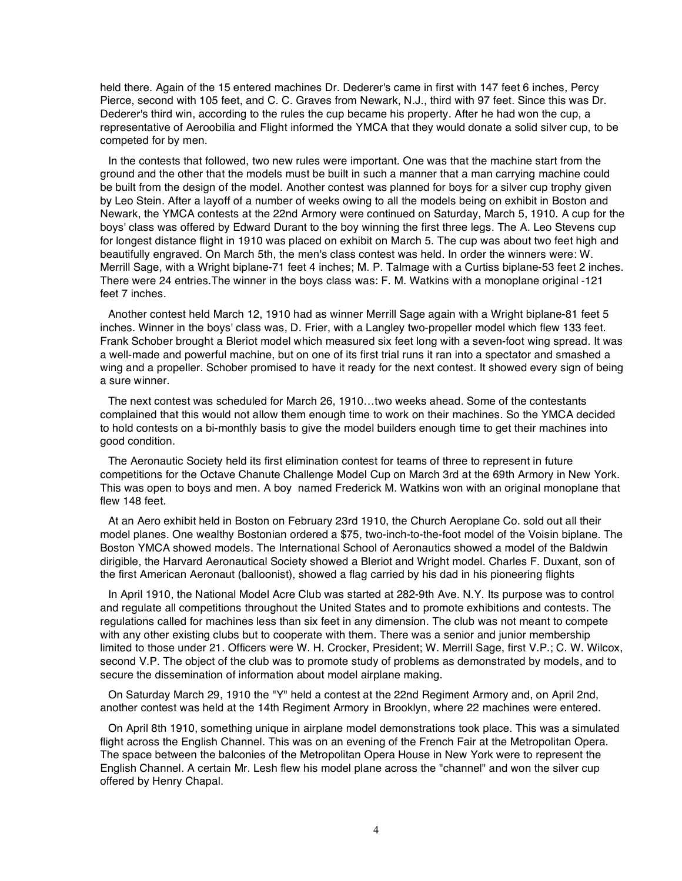held there. Again of the 15 entered machines Dr. Dederer's came in first with 147 feet 6 inches, Percy Pierce, second with 105 feet, and C. C. Graves from Newark, N.J., third with 97 feet. Since this was Dr. Dederer's third win, according to the rules the cup became his property. After he had won the cup, a representative of Aeroobilia and Flight informed the YMCA that they would donate a solid silver cup, to be competed for by men.

In the contests that followed, two new rules were important. One was that the machine start from the ground and the other that the models must be built in such a manner that a man carrying machine could be built from the design of the model. Another contest was planned for boys for a silver cup trophy given by Leo Stein. After a layoff of a number of weeks owing to all the models being on exhibit in Boston and Newark, the YMCA contests at the 22nd Armory were continued on Saturday, March 5, 1910. A cup for the boys' class was offered by Edward Durant to the boy winning the first three legs. The A. Leo Stevens cup for longest distance flight in 1910 was placed on exhibit on March 5. The cup was about two feet high and beautifully engraved. On March 5th, the men's class contest was held. In order the winners were: W. Merrill Sage, with a Wright biplane-71 feet 4 inches; M. P. Talmage with a Curtiss biplane-53 feet 2 inches. There were 24 entries.The winner in the boys class was: F. M. Watkins with a monoplane original -121 feet 7 inches.

Another contest held March 12, 1910 had as winner Merrill Sage again with a Wright biplane-81 feet 5 inches. Winner in the boys' class was, D. Frier, with a Langley two-propeller model which flew 133 feet. Frank Schober brought a Bleriot model which measured six feet long with a seven-foot wing spread. It was a well-made and powerful machine, but on one of its first trial runs it ran into a spectator and smashed a wing and a propeller. Schober promised to have it ready for the next contest. It showed every sign of being a sure winner.

The next contest was scheduled for March 26, 1910…two weeks ahead. Some of the contestants complained that this would not allow them enough time to work on their machines. So the YMCA decided to hold contests on a bi-monthly basis to give the model builders enough time to get their machines into good condition.

The Aeronautic Society held its first elimination contest for teams of three to represent in future competitions for the Octave Chanute Challenge Model Cup on March 3rd at the 69th Armory in New York. This was open to boys and men. A boy named Frederick M. Watkins won with an original monoplane that flew 148 feet.

At an Aero exhibit held in Boston on February 23rd 1910, the Church Aeroplane Co. sold out all their model planes. One wealthy Bostonian ordered a \$75, two-inch-to-the-foot model of the Voisin biplane. The Boston YMCA showed models. The International School of Aeronautics showed a model of the Baldwin dirigible, the Harvard Aeronautical Society showed a Bleriot and Wright model. Charles F. Duxant, son of the first American Aeronaut (balloonist), showed a flag carried by his dad in his pioneering flights

In April 1910, the National Model Acre Club was started at 282-9th Ave. N.Y. Its purpose was to control and regulate all competitions throughout the United States and to promote exhibitions and contests. The regulations called for machines less than six feet in any dimension. The club was not meant to compete with any other existing clubs but to cooperate with them. There was a senior and junior membership limited to those under 21. Officers were W. H. Crocker, President; W. Merrill Sage, first V.P.; C. W. Wilcox, second V.P. The object of the club was to promote study of problems as demonstrated by models, and to secure the dissemination of information about model airplane making.

On Saturday March 29, 1910 the "Y" held a contest at the 22nd Regiment Armory and, on April 2nd, another contest was held at the 14th Regiment Armory in Brooklyn, where 22 machines were entered.

On April 8th 1910, something unique in airplane model demonstrations took place. This was a simulated flight across the English Channel. This was on an evening of the French Fair at the Metropolitan Opera. The space between the balconies of the Metropolitan Opera House in New York were to represent the English Channel. A certain Mr. Lesh flew his model plane across the "channel" and won the silver cup offered by Henry Chapal.